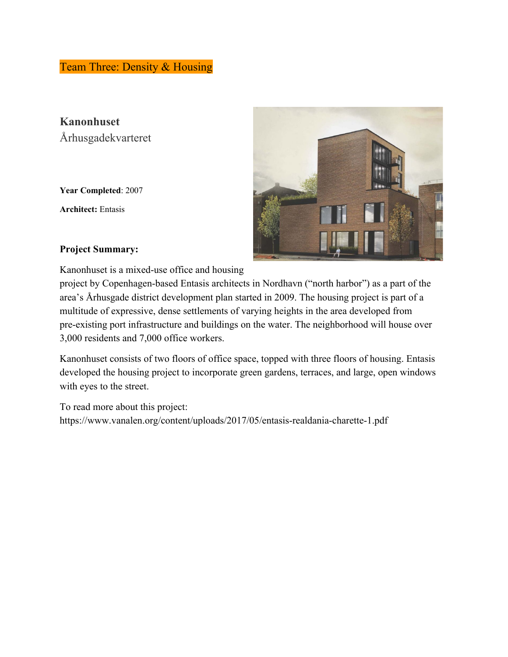Team Three: Density & Housing

**Kanonhuset** Århusgadekvarteret

**Year Completed**: 2007

**Architect:** Entasis



### **Project Summary:**

Kanonhuset is a mixed-use office and housing

project by Copenhagen-based Entasis architects in Nordhavn ("north harbor") as a part of the area's Århusgade district development plan started in 2009. The housing project is part of a multitude of expressive, dense settlements of varying heights in the area developed from pre-existing port infrastructure and buildings on the water. The neighborhood will house over 3,000 residents and 7,000 office workers.

Kanonhuset consists of two floors of office space, topped with three floors of housing. Entasis developed the housing project to incorporate green gardens, terraces, and large, open windows with eyes to the street.

To read more about this project: https://www.vanalen.org/content/uploads/2017/05/entasis-realdania-charette-1.pdf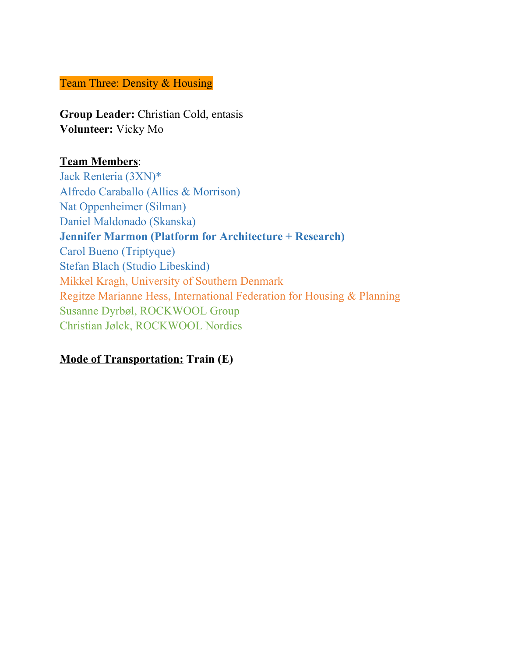## Team Three: Density & Housing

**Group Leader:** Christian Cold, entasis **Volunteer:** Vicky Mo

## **Team Members**:

Jack Renteria (3XN)\* Alfredo Caraballo (Allies & Morrison) Nat Oppenheimer (Silman) Daniel Maldonado (Skanska) **Jennifer Marmon (Platform for Architecture + Research)** Carol Bueno (Triptyque) Stefan Blach (Studio Libeskind) Mikkel Kragh, University of Southern Denmark Regitze Marianne Hess, International Federation for Housing & Planning Susanne Dyrbøl, ROCKWOOL Group Christian Jølck, ROCKWOOL Nordics

# **Mode of Transportation: Train (E)**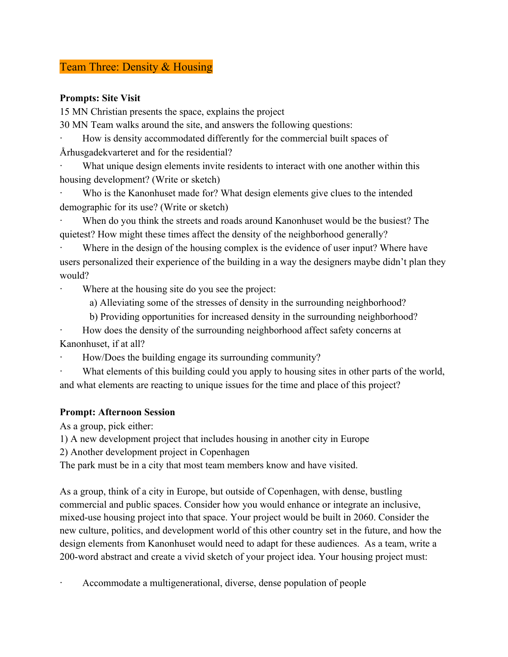## Team Three: Density & Housing

### **Prompts: Site Visit**

15 MN Christian presents the space, explains the project

30 MN Team walks around the site, and answers the following questions:

How is density accommodated differently for the commercial built spaces of Århusgadekvarteret and for the residential?

What unique design elements invite residents to interact with one another within this housing development? (Write or sketch)

Who is the Kanonhuset made for? What design elements give clues to the intended demographic for its use? (Write or sketch)

When do you think the streets and roads around Kanonhuset would be the busiest? The quietest? How might these times affect the density of the neighborhood generally?

Where in the design of the housing complex is the evidence of user input? Where have users personalized their experience of the building in a way the designers maybe didn't plan they would?

Where at the housing site do you see the project:

a) Alleviating some of the stresses of density in the surrounding neighborhood?

b) Providing opportunities for increased density in the surrounding neighborhood?

· How does the density of the surrounding neighborhood affect safety concerns at Kanonhuset, if at all?

· How/Does the building engage its surrounding community?

What elements of this building could you apply to housing sites in other parts of the world, and what elements are reacting to unique issues for the time and place of this project?

### **Prompt: Afternoon Session**

As a group, pick either:

1) A new development project that includes housing in another city in Europe

2) Another development project in Copenhagen

The park must be in a city that most team members know and have visited.

As a group, think of a city in Europe, but outside of Copenhagen, with dense, bustling commercial and public spaces. Consider how you would enhance or integrate an inclusive, mixed-use housing project into that space. Your project would be built in 2060. Consider the new culture, politics, and development world of this other country set in the future, and how the design elements from Kanonhuset would need to adapt for these audiences. As a team, write a 200-word abstract and create a vivid sketch of your project idea. Your housing project must:

Accommodate a multigenerational, diverse, dense population of people